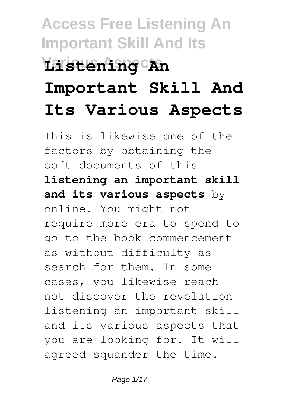# **Access Free Listening An Important Skill And Its Various Aspects Listening An Important Skill And Its Various Aspects**

This is likewise one of the factors by obtaining the soft documents of this **listening an important skill and its various aspects** by online. You might not require more era to spend to go to the book commencement as without difficulty as search for them. In some cases, you likewise reach not discover the revelation listening an important skill and its various aspects that you are looking for. It will agreed squander the time.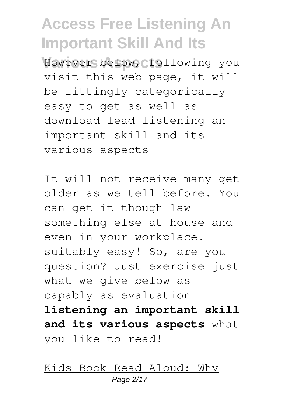However below, following you visit this web page, it will be fittingly categorically easy to get as well as download lead listening an important skill and its various aspects

It will not receive many get older as we tell before. You can get it though law something else at house and even in your workplace. suitably easy! So, are you question? Just exercise just what we give below as capably as evaluation **listening an important skill and its various aspects** what you like to read!

Kids Book Read Aloud: Why Page 2/17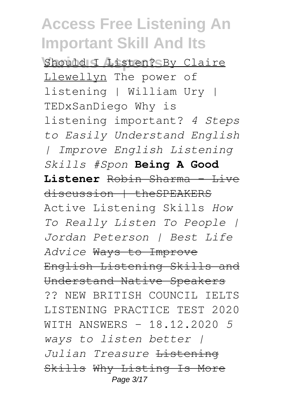Should I Listen? By Claire Llewellyn The power of listening | William Ury | TEDxSanDiego Why is listening important? *4 Steps to Easily Understand English | Improve English Listening Skills #Spon* **Being A Good Listener** Robin Sharma - Live discussion | theSPEAKERS Active Listening Skills *How To Really Listen To People | Jordan Peterson | Best Life Advice* Ways to Improve English Listening Skills and Understand Native Speakers ?? NEW BRITISH COUNCIL IELTS LISTENING PRACTICE TEST 2020 WITH ANSWERS - 18.12.2020 *5 ways to listen better | Julian Treasure* Listening Skills Why Listing Is More Page 3/17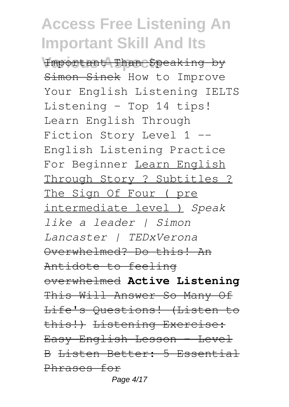**Various Aspects** Important Than Speaking by Simon Sinek How to Improve Your English Listening IELTS Listening - Top 14 tips! Learn English Through Fiction Story Level 1 -- English Listening Practice For Beginner Learn English Through Story ? Subtitles ? The Sign Of Four ( pre intermediate level ) *Speak like a leader | Simon Lancaster | TEDxVerona* Overwhelmed? Do this! An Antidote to feeling overwhelmed **Active Listening** This Will Answer So Many Of Life's Questions! (Listen to this!) Listening Exercise: Easy English Lesson - Level B Listen Better: 5 Essential Phrases for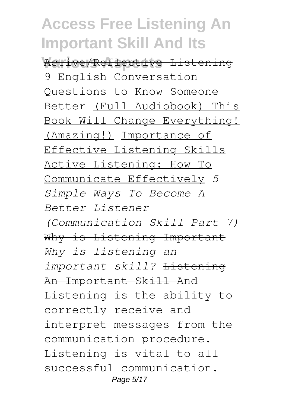**Various Aspects** Active/Reflective Listening 9 English Conversation Questions to Know Someone Better (Full Audiobook) This Book Will Change Everything! (Amazing!) Importance of Effective Listening Skills Active Listening: How To Communicate Effectively *5 Simple Ways To Become A Better Listener*

*(Communication Skill Part 7)* Why is Listening Important *Why is listening an important skill?* Listening An Important Skill And Listening is the ability to correctly receive and interpret messages from the communication procedure. Listening is vital to all successful communication. Page 5/17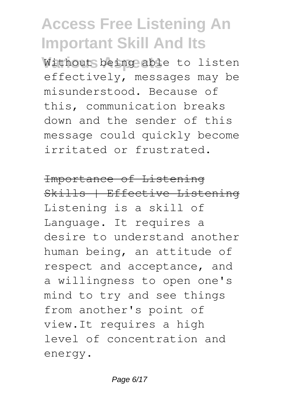Without being able to listen effectively, messages may be misunderstood. Because of this, communication breaks down and the sender of this message could quickly become irritated or frustrated.

#### Importance of Listening

Skills | Effective Listening Listening is a skill of Language. It requires a desire to understand another human being, an attitude of respect and acceptance, and a willingness to open one's mind to try and see things from another's point of view.It requires a high level of concentration and energy.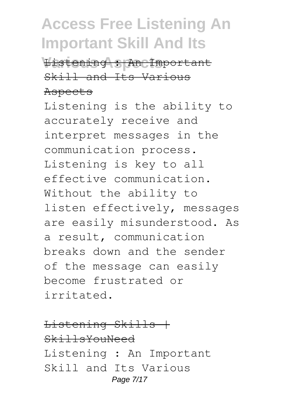**Various Aspects** Listening : An Important Skill and Its Various Aspects

Listening is the ability to accurately receive and interpret messages in the communication process. Listening is key to all effective communication. Without the ability to listen effectively, messages are easily misunderstood. As a result, communication breaks down and the sender of the message can easily become frustrated or irritated.

Listening Skills | SkillsYouNeed Listening : An Important Skill and Its Various Page 7/17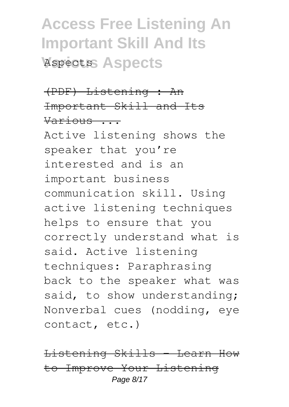## **Access Free Listening An Important Skill And Its Various Aspects** Aspects

### (PDF) Listening : An Important Skill and Its Various ...

Active listening shows the speaker that you're interested and is an important business communication skill. Using active listening techniques helps to ensure that you correctly understand what is said. Active listening techniques: Paraphrasing back to the speaker what was said, to show understanding; Nonverbal cues (nodding, eye contact, etc.)

Listening Skills - Learn How to Improve Your Listening Page 8/17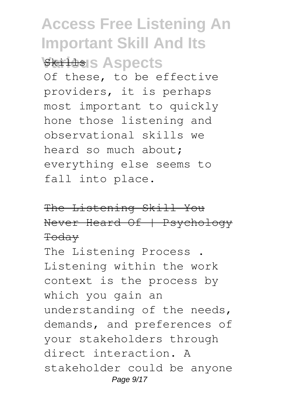### **Access Free Listening An Important Skill And Its** *<u>Skilds</u>* SASDECTS

Of these, to be effective providers, it is perhaps most important to quickly hone those listening and observational skills we heard so much about; everything else seems to fall into place.

The Listening Skill You Never Heard Of | Psychology Today

The Listening Process . Listening within the work context is the process by which you gain an understanding of the needs, demands, and preferences of your stakeholders through direct interaction. A stakeholder could be anyone Page 9/17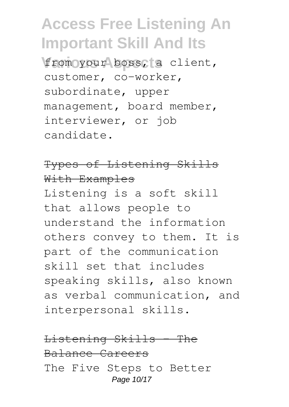from your boss, a client, customer, co-worker, subordinate, upper management, board member, interviewer, or job candidate.

#### Types of Listening Skills With Examples

Listening is a soft skill that allows people to understand the information others convey to them. It is part of the communication skill set that includes speaking skills, also known as verbal communication, and interpersonal skills.

#### Listening Skills - The Balance Careers The Five Steps to Better Page 10/17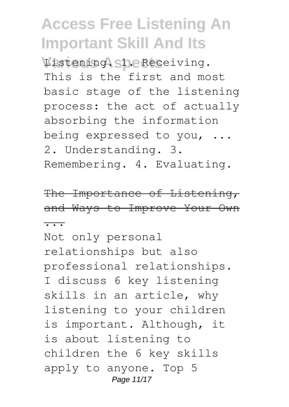Listening. She Receiving. This is the first and most basic stage of the listening process: the act of actually absorbing the information being expressed to you, ... 2. Understanding. 3. Remembering. 4. Evaluating.

The Importance of Listening, and Ways to Improve Your Own ...

Not only personal relationships but also professional relationships. I discuss 6 key listening skills in an article, why listening to your children is important. Although, it is about listening to children the 6 key skills apply to anyone. Top 5 Page 11/17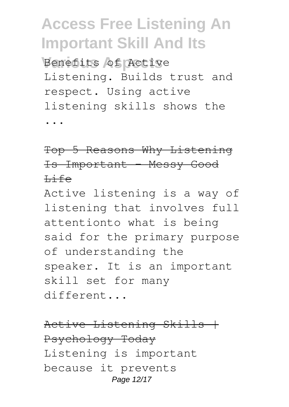Benefits of Active Listening. Builds trust and respect. Using active listening skills shows the ...

Top 5 Reasons Why Listening Is Important - Messy Good Life

Active listening is a way of listening that involves full attentionto what is being said for the primary purpose of understanding the speaker. It is an important skill set for many different...

Active Listening Skills | Psychology Today Listening is important because it prevents Page 12/17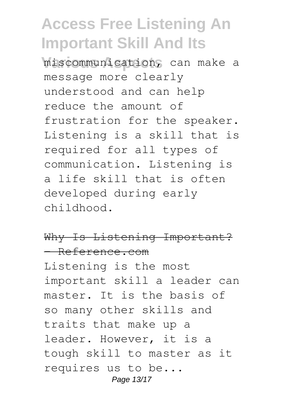**Various Aspects** miscommunication, can make a message more clearly understood and can help reduce the amount of frustration for the speaker. Listening is a skill that is required for all types of communication. Listening is a life skill that is often developed during early childhood.

#### Why Is Listening Important? - Reference.com

Listening is the most important skill a leader can master. It is the basis of so many other skills and traits that make up a leader. However, it is a tough skill to master as it requires us to be... Page 13/17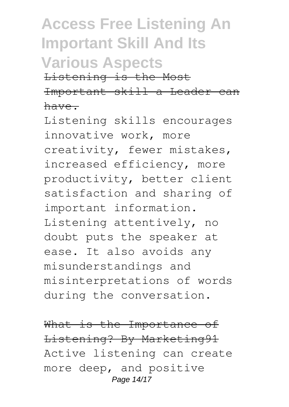# **Access Free Listening An Important Skill And Its Various Aspects**

Listening is the Most Important skill a Leader can have.

Listening skills encourages innovative work, more creativity, fewer mistakes, increased efficiency, more productivity, better client satisfaction and sharing of important information. Listening attentively, no doubt puts the speaker at ease. It also avoids any misunderstandings and misinterpretations of words during the conversation.

What is the Importance of Listening? By Marketing91 Active listening can create more deep, and positive Page 14/17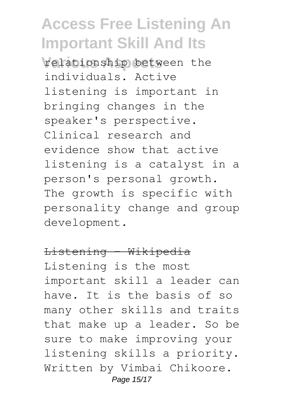**Various Aspects** relationship between the individuals. Active listening is important in bringing changes in the speaker's perspective. Clinical research and evidence show that active listening is a catalyst in a person's personal growth. The growth is specific with personality change and group development.

#### Listening - Wikipedia

Listening is the most important skill a leader can have. It is the basis of so many other skills and traits that make up a leader. So be sure to make improving your listening skills a priority. Written by Vimbai Chikoore. Page 15/17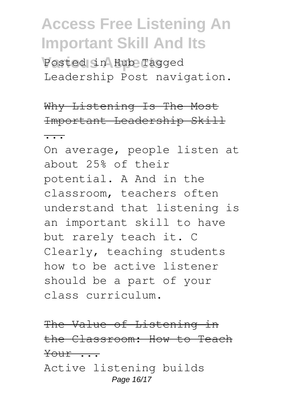Posted in Hub Tagged Leadership Post navigation.

### Why Listening Is The Most Important Leadership Skill

...

On average, people listen at about 25% of their potential. A And in the classroom, teachers often understand that listening is an important skill to have but rarely teach it. C Clearly, teaching students how to be active listener should be a part of your class curriculum.

The Value of Listening in the Classroom: How to Teach Your ... Active listening builds